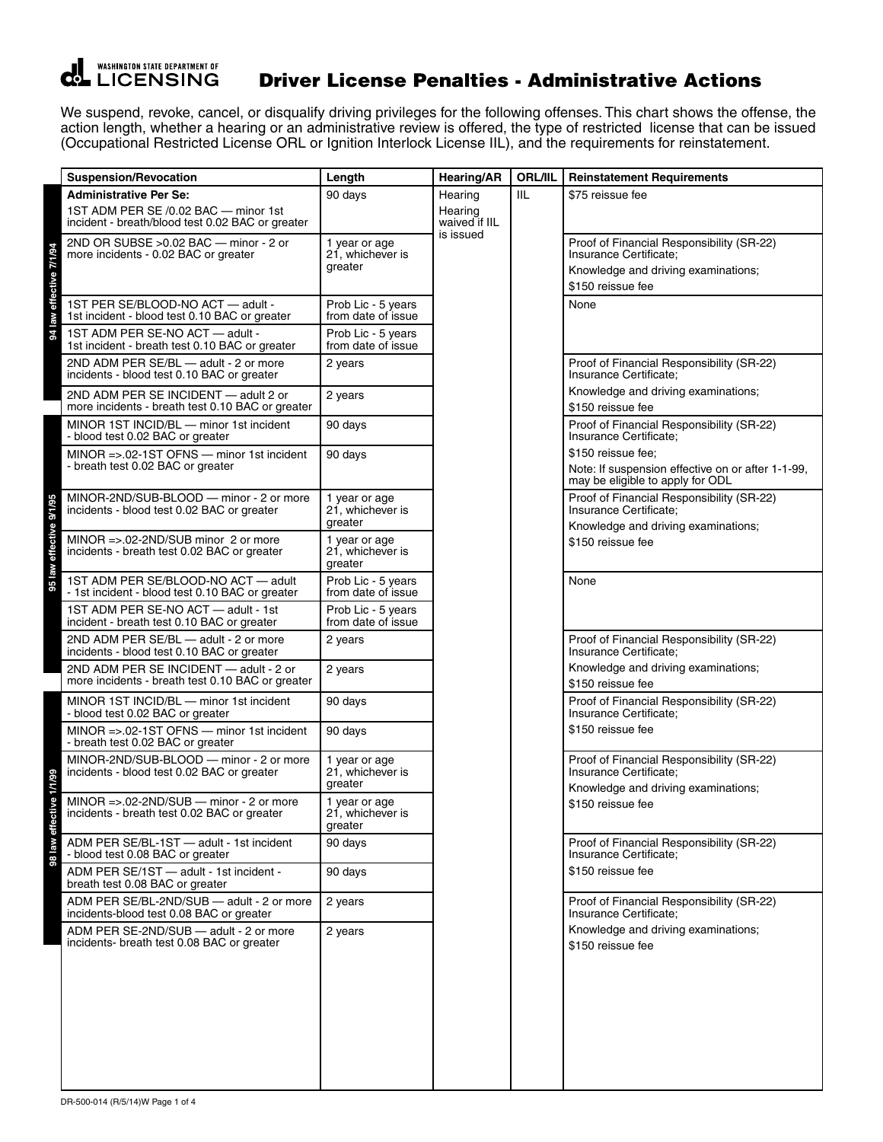

## Driver License Penalties - Administrative Actions

We suspend, revoke, cancel, or disqualify driving privileges for the following offenses. This chart shows the offense, the action length, whether a hearing or an administrative review is offered, the type of restricted license that can be issued (Occupational Restricted License ORL or Ignition Interlock License IIL), and the requirements for reinstatement.

|    | <b>Suspension/Revocation</b>                                                                                              | Length                                       | <b>Hearing/AR</b>                                | <b>ORL/IIL</b> | <b>Reinstatement Requirements</b>                                                                                               |
|----|---------------------------------------------------------------------------------------------------------------------------|----------------------------------------------|--------------------------------------------------|----------------|---------------------------------------------------------------------------------------------------------------------------------|
|    | <b>Administrative Per Se:</b><br>1ST ADM PER SE /0.02 BAC - minor 1st<br>incident - breath/blood test 0.02 BAC or greater | 90 days                                      | Hearing<br>Hearing<br>waived if IIL<br>is issued | IIL            | \$75 reissue fee                                                                                                                |
|    | 2ND OR SUBSE > 0.02 BAC - minor - 2 or<br>more incidents - 0.02 BAC or greater                                            | 1 year or age<br>21, whichever is<br>greater |                                                  |                | Proof of Financial Responsibility (SR-22)<br>Insurance Certificate;<br>Knowledge and driving examinations;<br>\$150 reissue fee |
|    | 1ST PER SE/BLOOD-NO ACT - adult -<br>1st incident - blood test 0.10 BAC or greater                                        | Prob Lic - 5 years<br>from date of issue     |                                                  |                | None                                                                                                                            |
|    | 1ST ADM PER SE-NO ACT - adult -<br>1st incident - breath test 0.10 BAC or greater                                         | Prob Lic - 5 years<br>from date of issue     |                                                  |                |                                                                                                                                 |
|    | 2ND ADM PER SE/BL - adult - 2 or more<br>incidents - blood test 0.10 BAC or greater                                       | 2 years                                      |                                                  |                | Proof of Financial Responsibility (SR-22)<br>Insurance Certificate;                                                             |
|    | 2ND ADM PER SE INCIDENT - adult 2 or<br>more incidents - breath test 0.10 BAC or greater                                  | 2 years                                      |                                                  |                | Knowledge and driving examinations;<br>\$150 reissue fee                                                                        |
|    | MINOR 1ST INCID/BL - minor 1st incident<br>- blood test 0.02 BAC or greater                                               | 90 days                                      |                                                  |                | Proof of Financial Responsibility (SR-22)<br>Insurance Certificate;                                                             |
|    | $MINOR = > 02 - 1ST OFNS$ - minor 1st incident<br>- breath test 0.02 BAC or greater                                       | 90 days                                      |                                                  |                | \$150 reissue fee;<br>Note: If suspension effective on or after 1-1-99,<br>may be eligible to apply for ODL                     |
|    | MINOR-2ND/SUB-BLOOD - minor - 2 or more<br>incidents - blood test 0.02 BAC or greater                                     | 1 year or age<br>21, whichever is<br>greater |                                                  |                | Proof of Financial Responsibility (SR-22)<br>Insurance Certificate;<br>Knowledge and driving examinations;                      |
|    | MINOR $=$ > 02-2ND/SUB minor 2 or more<br>incidents - breath test 0.02 BAC or greater                                     | 1 year or age<br>21, whichever is<br>greater |                                                  |                | \$150 reissue fee                                                                                                               |
|    | 1ST ADM PER SE/BLOOD-NO ACT - adult<br>- 1st incident - blood test 0.10 BAC or greater                                    | Prob Lic - 5 years<br>from date of issue     |                                                  |                | None                                                                                                                            |
|    | 1ST ADM PER SE-NO ACT - adult - 1st<br>incident - breath test 0.10 BAC or greater                                         | Prob Lic - 5 years<br>from date of issue     |                                                  |                |                                                                                                                                 |
|    | 2ND ADM PER SE/BL - adult - 2 or more<br>incidents - blood test 0.10 BAC or greater                                       | 2 years                                      |                                                  |                | Proof of Financial Responsibility (SR-22)<br>Insurance Certificate;                                                             |
|    | 2ND ADM PER SE INCIDENT - adult - 2 or<br>more incidents - breath test 0.10 BAC or greater                                | 2 years                                      |                                                  |                | Knowledge and driving examinations;<br>\$150 reissue fee                                                                        |
|    | MINOR 1ST INCID/BL - minor 1st incident<br>- blood test 0.02 BAC or greater                                               | 90 days                                      |                                                  |                | Proof of Financial Responsibility (SR-22)<br>Insurance Certificate;                                                             |
|    | MINOR =>.02-1ST OFNS - minor 1st incident<br>- breath test 0.02 BAC or greater                                            | 90 days                                      |                                                  |                | \$150 reissue fee                                                                                                               |
|    | MINOR-2ND/SUB-BLOOD - minor - 2 or more<br>incidents - blood test 0.02 BAC or greater                                     | 1 year or age<br>21, whichever is<br>greater |                                                  |                | Proof of Financial Responsibility (SR-22)<br>Insurance Certificate:<br>Knowledge and driving examinations;                      |
| ٥  | MINOR =>.02-2ND/SUB $-$ minor - 2 or more<br>incidents - breath test 0.02 BAC or greater                                  | 1 year or age<br>21, whichever is<br>greater |                                                  |                | \$150 reissue fee                                                                                                               |
| aw | ADM PER SE/BL-1ST - adult - 1st incident<br>- blood test 0.08 BAC or greater                                              | 90 days                                      |                                                  |                | Proof of Financial Responsibility (SR-22)<br>Insurance Certificate;                                                             |
|    | ADM PER SE/1ST - adult - 1st incident -<br>breath test 0.08 BAC or greater                                                | 90 days                                      |                                                  |                | \$150 reissue fee                                                                                                               |
|    | ADM PER SE/BL-2ND/SUB - adult - 2 or more<br>incidents-blood test 0.08 BAC or greater                                     | 2 years                                      |                                                  |                | Proof of Financial Responsibility (SR-22)<br>Insurance Certificate;                                                             |
|    | ADM PER SE-2ND/SUB - adult - 2 or more<br>incidents- breath test 0.08 BAC or greater                                      | 2 years                                      |                                                  |                | Knowledge and driving examinations;<br>\$150 reissue fee                                                                        |
|    |                                                                                                                           |                                              |                                                  |                |                                                                                                                                 |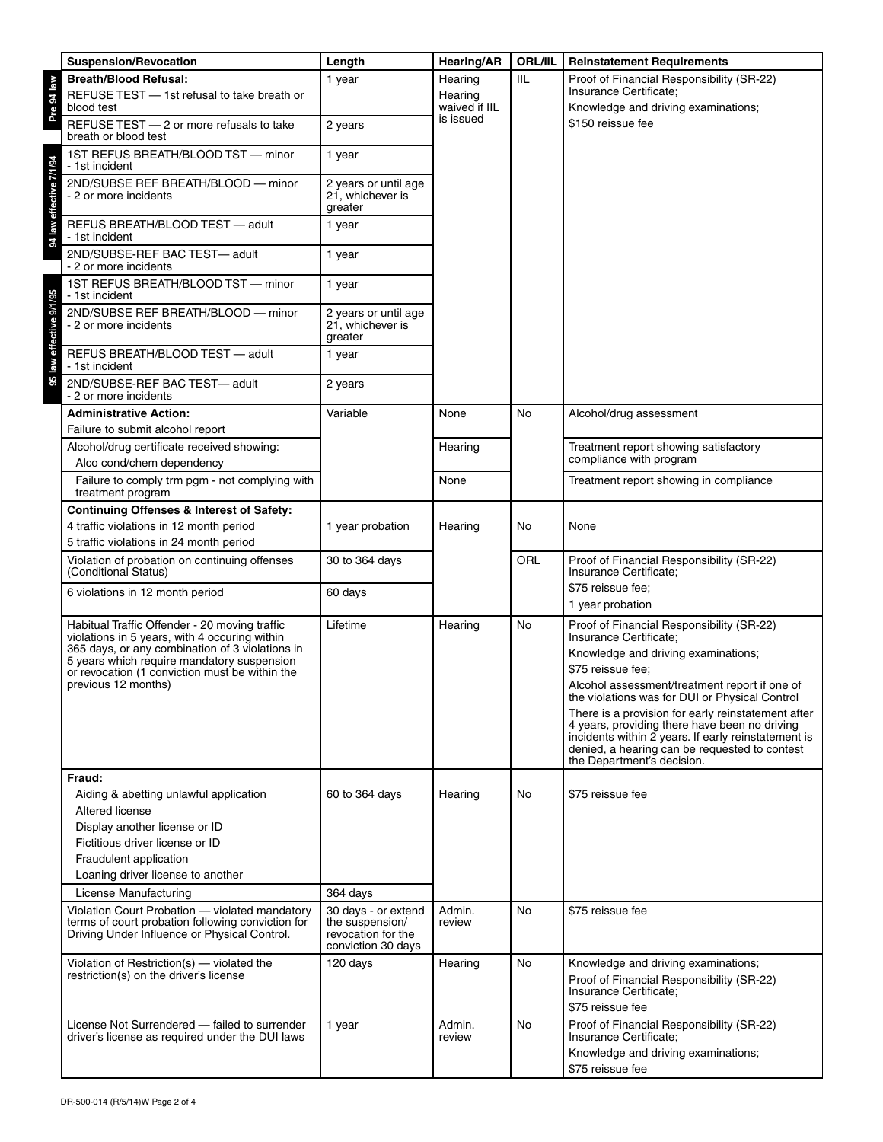| <b>Suspension/Revocation</b>                                                                      | Length                                                      | <b>Hearing/AR</b>        | <b>ORL/IIL</b> | <b>Reinstatement Requirements</b>                                                                    |
|---------------------------------------------------------------------------------------------------|-------------------------------------------------------------|--------------------------|----------------|------------------------------------------------------------------------------------------------------|
| <b>Breath/Blood Refusal:</b>                                                                      | 1 year                                                      | Hearing                  | IIL            | Proof of Financial Responsibility (SR-22)                                                            |
| REFUSE TEST - 1st refusal to take breath or<br>blood test                                         |                                                             | Hearing<br>waived if IIL |                | Insurance Certificate;<br>Knowledge and driving examinations;                                        |
| REFUSE TEST - 2 or more refusals to take<br>breath or blood test                                  | 2 years                                                     | is issued                |                | \$150 reissue fee                                                                                    |
| 1ST REFUS BREATH/BLOOD TST - minor<br>- 1st incident                                              | 1 year                                                      |                          |                |                                                                                                      |
| 2ND/SUBSE REF BREATH/BLOOD - minor<br>- 2 or more incidents                                       | 2 years or until age<br>21. whichever is<br>greater         |                          |                |                                                                                                      |
| REFUS BREATH/BLOOD TEST - adult<br>- 1st incident                                                 | 1 year                                                      |                          |                |                                                                                                      |
| 2ND/SUBSE-REF BAC TEST-adult<br>- 2 or more incidents                                             | 1 year                                                      |                          |                |                                                                                                      |
| 1ST REFUS BREATH/BLOOD TST - minor<br>- 1st incident                                              | 1 year                                                      |                          |                |                                                                                                      |
| 2ND/SUBSE REF BREATH/BLOOD - minor<br>- 2 or more incidents                                       | 2 years or until age<br>21, whichever is<br>greater         |                          |                |                                                                                                      |
| REFUS BREATH/BLOOD TEST - adult<br>- 1st incident                                                 | 1 year                                                      |                          |                |                                                                                                      |
| 2ND/SUBSE-REF BAC TEST-adult<br>- 2 or more incidents                                             | 2 years                                                     |                          |                |                                                                                                      |
| <b>Administrative Action:</b>                                                                     | Variable                                                    | None                     | No             | Alcohol/drug assessment                                                                              |
| Failure to submit alcohol report                                                                  |                                                             |                          |                |                                                                                                      |
| Alcohol/drug certificate received showing:<br>Alco cond/chem dependency                           |                                                             | Hearing                  |                | Treatment report showing satisfactory<br>compliance with program                                     |
| Failure to comply trm pgm - not complying with<br>treatment program                               |                                                             | None                     |                | Treatment report showing in compliance                                                               |
| <b>Continuing Offenses &amp; Interest of Safety:</b>                                              |                                                             |                          |                |                                                                                                      |
| 4 traffic violations in 12 month period                                                           | 1 year probation                                            | Hearing                  | No             | None                                                                                                 |
| 5 traffic violations in 24 month period<br>Violation of probation on continuing offenses          | 30 to 364 days                                              |                          | ORL            | Proof of Financial Responsibility (SR-22)                                                            |
| (Conditional Status)                                                                              |                                                             |                          |                | Insurance Certificate;                                                                               |
| 6 violations in 12 month period                                                                   | 60 days                                                     |                          |                | \$75 reissue fee;                                                                                    |
| Habitual Traffic Offender - 20 moving traffic                                                     | Lifetime                                                    | Hearing                  | No             | 1 year probation<br>Proof of Financial Responsibility (SR-22)                                        |
| violations in 5 years, with 4 occuring within                                                     |                                                             |                          |                | Insurance Certificate;                                                                               |
| 365 days, or any combination of 3 violations in<br>5 years which require mandatory suspension     |                                                             |                          |                | Knowledge and driving examinations;                                                                  |
| or revocation (1 conviction must be within the<br>previous 12 months)                             |                                                             |                          |                | \$75 reissue fee:<br>Alcohol assessment/treatment report if one of                                   |
|                                                                                                   |                                                             |                          |                | the violations was for DUI or Physical Control                                                       |
|                                                                                                   |                                                             |                          |                | There is a provision for early reinstatement after<br>4 years, providing there have been no driving  |
|                                                                                                   |                                                             |                          |                | incidents within 2 years. If early reinstatement is<br>denied, a hearing can be requested to contest |
|                                                                                                   |                                                             |                          |                | the Department's decision.                                                                           |
| Fraud:                                                                                            |                                                             |                          |                |                                                                                                      |
| Aiding & abetting unlawful application<br>Altered license                                         | 60 to 364 days                                              | Hearing                  | No             | \$75 reissue fee                                                                                     |
| Display another license or ID                                                                     |                                                             |                          |                |                                                                                                      |
| Fictitious driver license or ID                                                                   |                                                             |                          |                |                                                                                                      |
| Fraudulent application<br>Loaning driver license to another                                       |                                                             |                          |                |                                                                                                      |
| License Manufacturing                                                                             | 364 days                                                    |                          |                |                                                                                                      |
| Violation Court Probation - violated mandatory                                                    | 30 days - or extend                                         | Admin.                   | No             | \$75 reissue fee                                                                                     |
| terms of court probation following conviction for<br>Driving Under Influence or Physical Control. | the suspension/<br>revocation for the<br>conviction 30 days | review                   |                |                                                                                                      |
| Violation of Restriction(s) - violated the<br>restriction(s) on the driver's license              | 120 days                                                    | Hearing                  | No             | Knowledge and driving examinations;                                                                  |
|                                                                                                   |                                                             |                          |                | Proof of Financial Responsibility (SR-22)<br>Insurance Certificate;                                  |
|                                                                                                   |                                                             |                          |                | \$75 reissue fee                                                                                     |
| License Not Surrendered - failed to surrender                                                     | 1 year                                                      | Admin.                   | No             | Proof of Financial Responsibility (SR-22)                                                            |
| driver's license as required under the DUI laws                                                   |                                                             | review                   |                | Insurance Certificate;<br>Knowledge and driving examinations;                                        |
|                                                                                                   |                                                             |                          |                | \$75 reissue fee                                                                                     |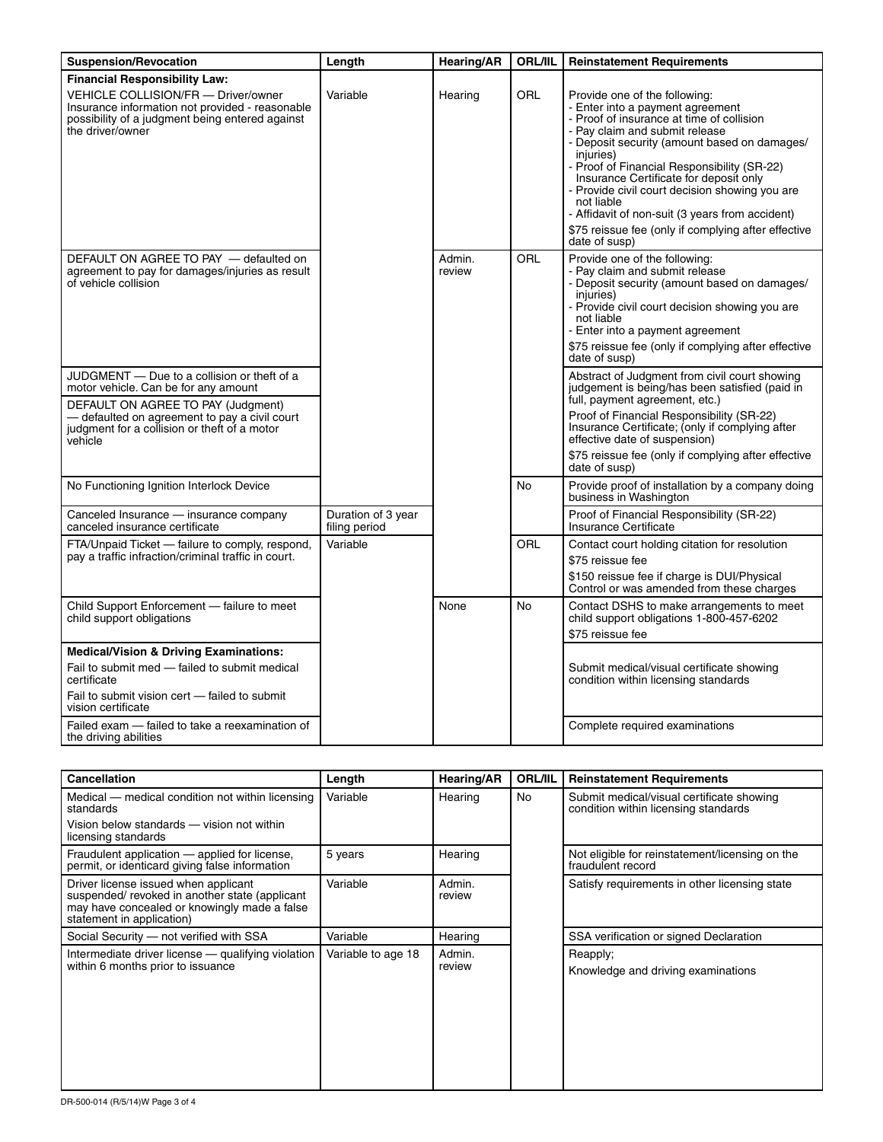| <b>Suspension/Revocation</b>                                                                                                                                                                          | Length                              | <b>Hearing/AR</b> | <b>ORL/IIL</b> | <b>Reinstatement Requirements</b>                                                                                                                                                                                                                                                                                                                                                                                                                                                               |
|-------------------------------------------------------------------------------------------------------------------------------------------------------------------------------------------------------|-------------------------------------|-------------------|----------------|-------------------------------------------------------------------------------------------------------------------------------------------------------------------------------------------------------------------------------------------------------------------------------------------------------------------------------------------------------------------------------------------------------------------------------------------------------------------------------------------------|
| <b>Financial Responsibility Law:</b><br>VEHICLE COLLISION/FR - Driver/owner<br>Insurance information not provided - reasonable<br>possibility of a judgment being entered against<br>the driver/owner | Variable                            | Hearing           | ORL            | Provide one of the following:<br>- Enter into a payment agreement<br>- Proof of insurance at time of collision<br>- Pay claim and submit release<br>- Deposit security (amount based on damages/<br>iniuries)<br>- Proof of Financial Responsibility (SR-22)<br>Insurance Certificate for deposit only<br>Provide civil court decision showing you are<br>not liable<br>- Affidavit of non-suit (3 years from accident)<br>\$75 reissue fee (only if complying after effective<br>date of susp) |
| DEFAULT ON AGREE TO PAY - defaulted on<br>agreement to pay for damages/injuries as result<br>of vehicle collision                                                                                     |                                     | Admin.<br>review  | <b>ORL</b>     | Provide one of the following:<br>- Pay claim and submit release<br>- Deposit security (amount based on damages/<br>injuries)<br>- Provide civil court decision showing you are<br>not liable<br>- Enter into a payment agreement<br>\$75 reissue fee (only if complying after effective<br>date of susp)                                                                                                                                                                                        |
| JUDGMENT - Due to a collision or theft of a<br>motor vehicle. Can be for any amount                                                                                                                   |                                     |                   |                | Abstract of Judgment from civil court showing<br>judgement is being/has been satisfied (paid in                                                                                                                                                                                                                                                                                                                                                                                                 |
| DEFAULT ON AGREE TO PAY (Judgment)<br>- defaulted on agreement to pay a civil court<br>judgment for a collision or theft of a motor<br>vehicle                                                        |                                     |                   |                | full, payment agreement, etc.)<br>Proof of Financial Responsibility (SR-22)<br>Insurance Certificate; (only if complying after<br>effective date of suspension)                                                                                                                                                                                                                                                                                                                                 |
|                                                                                                                                                                                                       |                                     |                   |                | \$75 reissue fee (only if complying after effective<br>date of susp)                                                                                                                                                                                                                                                                                                                                                                                                                            |
| No Functioning Ignition Interlock Device                                                                                                                                                              |                                     |                   | No             | Provide proof of installation by a company doing<br>business in Washington                                                                                                                                                                                                                                                                                                                                                                                                                      |
| Canceled Insurance - insurance company<br>canceled insurance certificate                                                                                                                              | Duration of 3 year<br>filing period |                   |                | Proof of Financial Responsibility (SR-22)<br>Insurance Certificate                                                                                                                                                                                                                                                                                                                                                                                                                              |
| FTA/Unpaid Ticket - failure to comply, respond,<br>pay a traffic infraction/criminal traffic in court.                                                                                                | Variable                            |                   | ORL            | Contact court holding citation for resolution<br>\$75 reissue fee<br>\$150 reissue fee if charge is DUI/Physical<br>Control or was amended from these charges                                                                                                                                                                                                                                                                                                                                   |
| Child Support Enforcement - failure to meet<br>child support obligations                                                                                                                              |                                     | None              | No             | Contact DSHS to make arrangements to meet<br>child support obligations 1-800-457-6202<br>\$75 reissue fee                                                                                                                                                                                                                                                                                                                                                                                       |
| <b>Medical/Vision &amp; Driving Examinations:</b><br>Fail to submit med - failed to submit medical<br>certificate<br>Fail to submit vision cert - failed to submit<br>vision certificate              |                                     |                   |                | Submit medical/visual certificate showing<br>condition within licensing standards                                                                                                                                                                                                                                                                                                                                                                                                               |
| Failed exam - failed to take a reexamination of<br>the driving abilities                                                                                                                              |                                     |                   |                | Complete required examinations                                                                                                                                                                                                                                                                                                                                                                                                                                                                  |

| <b>Cancellation</b>                                                                                                                                                | Length             | <b>Hearing/AR</b> | <b>ORL/IIL</b> | <b>Reinstatement Requirements</b>                                                 |
|--------------------------------------------------------------------------------------------------------------------------------------------------------------------|--------------------|-------------------|----------------|-----------------------------------------------------------------------------------|
| Medical — medical condition not within licensing<br>standards                                                                                                      | Variable           | Hearing           | No             | Submit medical/visual certificate showing<br>condition within licensing standards |
| Vision below standards - vision not within<br>licensing standards                                                                                                  |                    |                   |                |                                                                                   |
| Fraudulent application — applied for license,<br>permit, or identicard giving false information                                                                    | 5 years            | Hearing           |                | Not eligible for reinstatement/licensing on the<br>fraudulent record              |
| Driver license issued when applicant<br>suspended/revoked in another state (applicant<br>may have concealed or knowingly made a false<br>statement in application) | Variable           | Admin.<br>review  |                | Satisfy requirements in other licensing state                                     |
| Social Security - not verified with SSA                                                                                                                            | Variable           | Hearing           |                | SSA verification or signed Declaration                                            |
| Intermediate driver license - qualifying violation<br>within 6 months prior to issuance                                                                            | Variable to age 18 | Admin.<br>review  |                | Reapply;<br>Knowledge and driving examinations                                    |